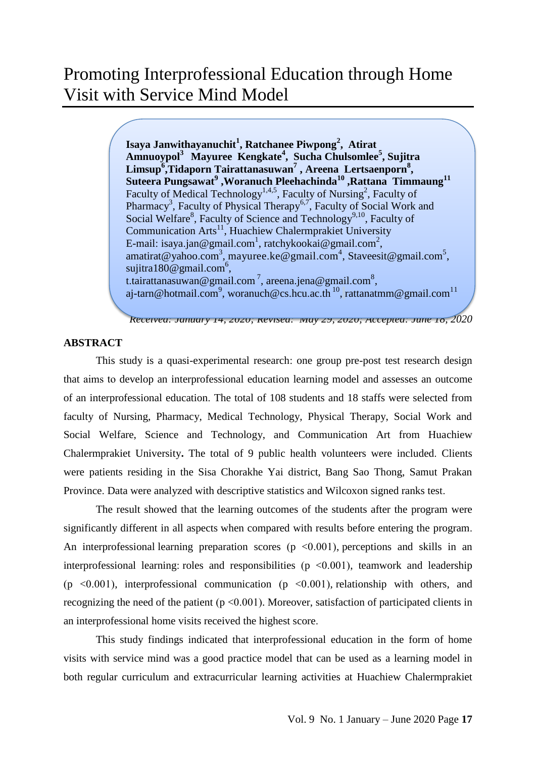# Promoting Interprofessional Education through Home Visit with Service Mind Model

**Isaya Janwithayanuchit<sup>1</sup> , Ratchanee Piwpong<sup>2</sup> , Atirat Amnuoypol<sup>3</sup> Mayuree Kengkate<sup>4</sup> , Sucha Chulsomlee<sup>5</sup> , Sujitra Limsup<sup>6</sup> ,Tidaporn Tairattanasuwan<sup>7</sup> , Areena Lertsaenporn<sup>8</sup> , Suteera Pungsawat<sup>9</sup> ,Woranuch Pleehachinda<sup>10</sup> ,Rattana Timmaung<sup>11</sup>** Faculty of Medical Technology<sup>1,4,5</sup>, Faculty of Nursing<sup>2</sup>, Faculty of Pharmacy<sup>3</sup>, Faculty of Physical Therapy<sup>6,7</sup>, Faculty of Social Work and Social Welfare<sup>8</sup>, Faculty of Science and Technology<sup>9,10</sup>, Faculty of Communication Arts $^{11}$ , Huachiew Chalermprakiet University E-mail: [isaya.jan@gmail.com](mailto:isaya.jan@gmail.com1)<sup>1</sup>, [ratchykookai@gmail.com](mailto:ratchykookai@gmail.com2)<sup>2</sup>, [amatirat@yahoo.com](mailto:amatirat@yahoo.com3)<sup>3</sup>, [mayuree.ke@gmail.com](mailto:mayuree.ke@gmail.com4)<sup>4</sup>, Staveesit@gmail.com<sup>5</sup>, [sujitra180@gmail.com](mailto:sujitra180@gmail.com6)<sup>6</sup>, t.tairattanasuwan@gmail.com<sup>7</sup>, areena.jena@gmail.com<sup>8</sup>, [aj-tarn@hotmail.com](mailto:aj-tarn@hotmail.com9)<sup>9</sup>, [woranuch@cs.hcu.ac.th](mailto:woranuch@cs.hcu.ac.th)<sup>10</sup>, rattanatmm@gmail.com<sup>11</sup>

*Received: January 14, 2020; Revised: May 29, 2020; Accepted: June 18, 2020*

### **ABSTRACT**

This study is a quasi-experimental research: one group pre-post test research design that aims to develop an interprofessional education learning model and assesses an outcome of an interprofessional education. The total of 108 students and 18 staffs were selected from faculty of Nursing, Pharmacy, Medical Technology, Physical Therapy, Social Work and Social Welfare, Science and Technology, and Communication Art from Huachiew Chalermprakiet University**.** The total of 9 public health volunteers were included. Clients were patients residing in the Sisa Chorakhe Yai district, Bang Sao Thong, Samut Prakan Province. Data were analyzed with descriptive statistics and Wilcoxon signed ranks test.

The result showed that the learning outcomes of the students after the program were significantly different in all aspects when compared with results before entering the program. An interprofessional learning preparation scores ( $p \le 0.001$ ), perceptions and skills in an interprofessional learning: roles and responsibilities ( $p < 0.001$ ), teamwork and leadership (p  $\langle 0.001 \rangle$ , interprofessional communication (p  $\langle 0.001 \rangle$ , relationship with others, and recognizing the need of the patient ( $p < 0.001$ ). Moreover, satisfaction of participated clients in an interprofessional home visits received the highest score.

This study findings indicated that interprofessional education in the form of home visits with service mind was a good practice model that can be used as a learning model in both regular curriculum and extracurricular learning activities at Huachiew Chalermprakiet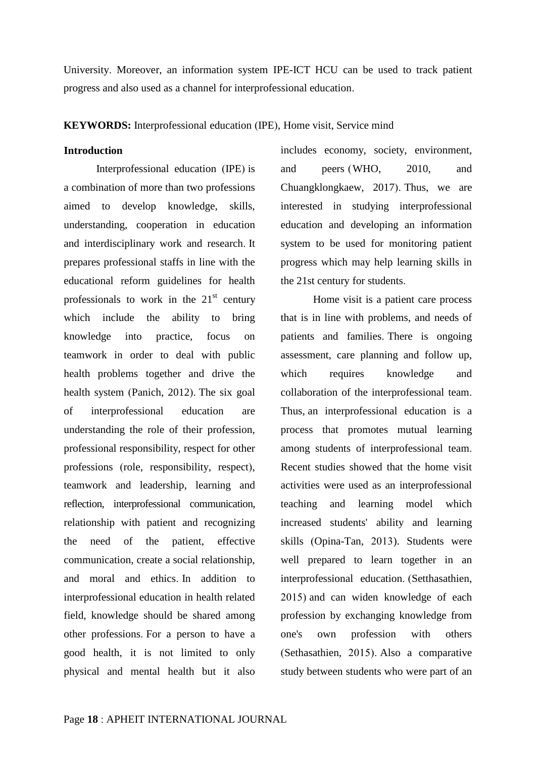University. Moreover, an information system IPE-ICT HCU can be used to track patient progress and also used as a channel for interprofessional education.

**KEYWORDS:** Interprofessional education (IPE), Home visit, Service mind

### **Introduction**

Interprofessional education (IPE) is a combination of more than two professions aimed to develop knowledge, skills, understanding, cooperation in education and interdisciplinary work and research. It prepares professional staffs in line with the educational reform guidelines for health professionals to work in the  $21<sup>st</sup>$  century which include the ability to bring knowledge into practice, focus on teamwork in order to deal with public health problems together and drive the health system (Panich, 2012). The six goal of interprofessional education are understanding the role of their profession, professional responsibility, respect for other professions (role, responsibility, respect), teamwork and leadership, learning and reflection, interprofessional communication, relationship with patient and recognizing the need of the patient, effective communication, create a social relationship, and moral and ethics. In addition to interprofessional education in health related field, knowledge should be shared among other professions. For a person to have a good health, it is not limited to only physical and mental health but it also includes economy, society, environment, and peers (WHO, 2010, and Chuangklongkaew, 2017). Thus, we are interested in studying interprofessional education and developing an information system to be used for monitoring patient progress which may help learning skills in the 21st century for students.

Home visit is a patient care process that is in line with problems, and needs of patients and families. There is ongoing assessment, care planning and follow up, which requires knowledge and collaboration of the interprofessional team. Thus, an interprofessional education is a process that promotes mutual learning among students of interprofessional team. Recent studies showed that the home visit activities were used as an interprofessional teaching and learning model which increased students' ability and learning skills (Opina-Tan, 2013). Students were well prepared to learn together in an interprofessional education. (Setthasathien, 2015) and can widen knowledge of each profession by exchanging knowledge from one's own profession with others (Sethasathien, 2015). Also a comparative study between students who were part of an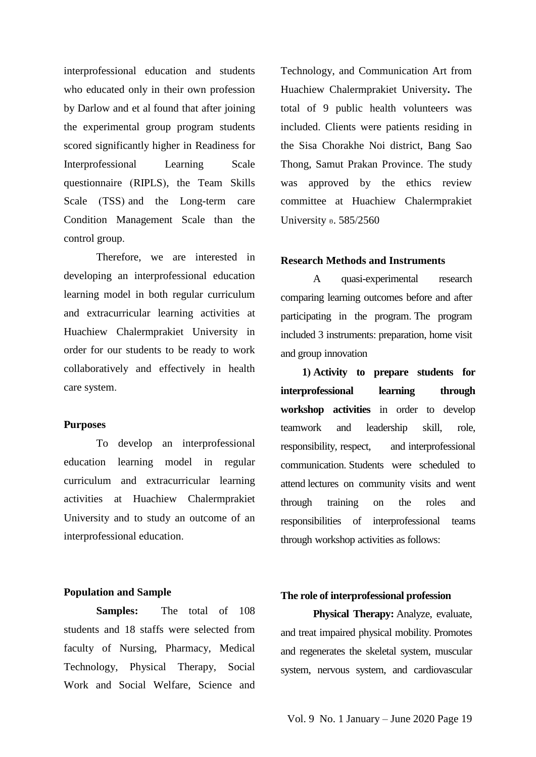interprofessional education and students who educated only in their own profession by Darlow and et al found that after joining the experimental group program students scored significantly higher in Readiness for Interprofessional Learning Scale questionnaire (RIPLS), the Team Skills Scale (TSS) and the Long-term care Condition Management Scale than the control group.

Therefore, we are interested in developing an interprofessional education learning model in both regular curriculum and extracurricular learning activities at Huachiew Chalermprakiet University in order for our students to be ready to work collaboratively and effectively in health care system.

### **Purposes**

To develop an interprofessional education learning model in regular curriculum and extracurricular learning activities at Huachiew Chalermprakiet University and to study an outcome of an interprofessional education.

### **Population and Sample**

**Samples:** The total of 108 students and 18 staffs were selected from faculty of Nursing, Pharmacy, Medical Technology, Physical Therapy, Social Work and Social Welfare, Science and

Technology, and Communication Art from Huachiew Chalermprakiet University**.** The total of 9 public health volunteers was included. Clients were patients residing in the Sisa Chorakhe Noi district, Bang Sao Thong, Samut Prakan Province. The study was approved by the ethics review committee at Huachiew Chalermprakiet University อ. 585/2560

### **Research Methods and Instruments**

A quasi-experimental research comparing learning outcomes before and after participating in the program. The program included 3 instruments: preparation, home visit and group innovation

 **1) Activity to prepare students for interprofessional learning through workshop activities** in order to develop teamwork and leadership skill, role, responsibility, respect, and interprofessional communication. Students were scheduled to attend lectures on community visits and went through training on the roles and responsibilities of interprofessional teams through workshop activities as follows:

### **The role of interprofessional profession**

**Physical Therapy:** Analyze, evaluate, and treat impaired physical mobility. Promotes and regenerates the skeletal system, muscular system, nervous system, and cardiovascular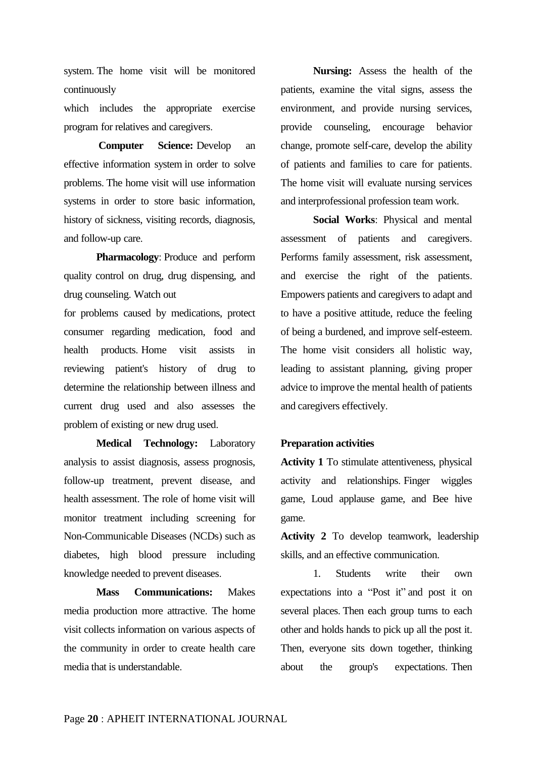system. The home visit will be monitored continuously

which includes the appropriate exercise program for relatives and caregivers.

**Computer Science:** Develop an effective information system in order to solve problems. The home visit will use information systems in order to store basic information, history of sickness, visiting records, diagnosis, and follow-up care.

**Pharmacology**: Produce and perform quality control on drug, drug dispensing, and drug counseling. Watch out

for problems caused by medications, protect consumer regarding medication, food and health products. Home visit assists in reviewing patient's history of drug to determine the relationship between illness and current drug used and also assesses the problem of existing or new drug used.

 **Medical Technology:** Laboratory analysis to assist diagnosis, assess prognosis, follow-up treatment, prevent disease, and health assessment. The role of home visit will monitor treatment including screening for Non-Communicable Diseases (NCDs) such as diabetes, high blood pressure including knowledge needed to prevent diseases.

 **Mass Communications:** Makes media production more attractive. The home visit collects information on various aspects of the community in order to create health care media that is understandable.

 **Nursing:** Assess the health of the patients, examine the vital signs, assess the environment, and provide nursing services, provide counseling, encourage behavior change, promote self-care, develop the ability of patients and families to care for patients. The home visit will evaluate nursing services and interprofessional profession team work.

**Social Works**: Physical and mental assessment of patients and caregivers. Performs family assessment, risk assessment, and exercise the right of the patients. Empowers patients and caregivers to adapt and to have a positive attitude, reduce the feeling of being a burdened, and improve self-esteem. The home visit considers all holistic way, leading to assistant planning, giving proper advice to improve the mental health of patients and caregivers effectively.

### **Preparation activities**

**Activity 1** To stimulate attentiveness, physical activity and relationships. Finger wiggles game, Loud applause game, and Bee hive game.

**Activity 2** To develop teamwork, leadership skills, and an effective communication.

1. Students write their own expectations into a "Post it" and post it on several places. Then each group turns to each other and holds hands to pick up all the post it. Then, everyone sits down together, thinking about the group's expectations. Then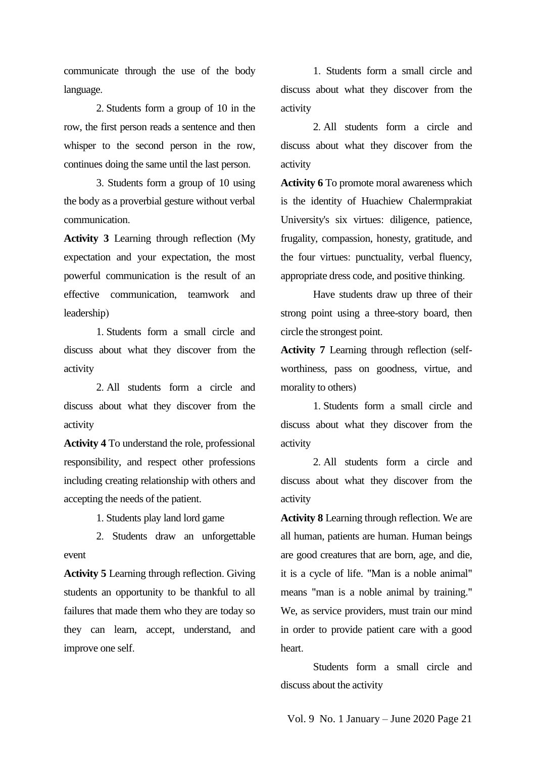communicate through the use of the body language.

2. Students form a group of 10 in the row, the first person reads a sentence and then whisper to the second person in the row, continues doing the same until the last person.

3. Students form a group of 10 using the body as a proverbial gesture without verbal communication.

**Activity 3** Learning through reflection (My expectation and your expectation, the most powerful communication is the result of an effective communication, teamwork and leadership)

1. Students form a small circle and discuss about what they discover from the activity

2. All students form a circle and discuss about what they discover from the activity

**Activity 4** To understand the role, professional responsibility, and respect other professions including creating relationship with others and accepting the needs of the patient.

1. Students play land lord game

2. Students draw an unforgettable event

**Activity 5** Learning through reflection. Giving students an opportunity to be thankful to all failures that made them who they are today so they can learn, accept, understand, and improve one self.

1. Students form a small circle and discuss about what they discover from the activity

2. All students form a circle and discuss about what they discover from the activity

**Activity 6** To promote moral awareness which is the identity of Huachiew Chalermprakiat University's six virtues: diligence, patience, frugality, compassion, honesty, gratitude, and the four virtues: punctuality, verbal fluency, appropriate dress code, and positive thinking.

Have students draw up three of their strong point using a three-story board, then circle the strongest point.

**Activity 7** Learning through reflection (selfworthiness, pass on goodness, virtue, and morality to others)

1. Students form a small circle and discuss about what they discover from the activity

2. All students form a circle and discuss about what they discover from the activity

**Activity 8** Learning through reflection. We are all human, patients are human. Human beings are good creatures that are born, age, and die, it is a cycle of life. "Man is a noble animal" means "man is a noble animal by training." We, as service providers, must train our mind in order to provide patient care with a good heart.

Students form a small circle and discuss about the activity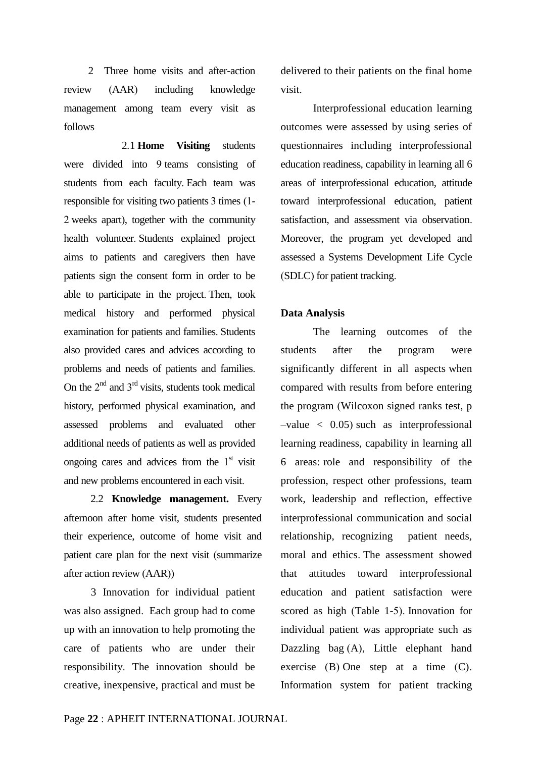2 Three home visits and after-action review (AAR) including knowledge management among team every visit as follows

 2.1 **Home Visiting** students were divided into 9 teams consisting of students from each faculty. Each team was responsible for visiting two patients 3 times (1- 2 weeks apart), together with the community health volunteer. Students explained project aims to patients and caregivers then have patients sign the consent form in order to be able to participate in the project. Then, took medical history and performed physical examination for patients and families. Students also provided cares and advices according to problems and needs of patients and families. On the  $2^{nd}$  and  $3^{rd}$  visits, students took medical history, performed physical examination, and assessed problems and evaluated other additional needs of patients as well as provided ongoing cares and advices from the  $1<sup>st</sup>$  visit and new problems encountered in each visit.

 2.2 **Knowledge management.** Every afternoon after home visit, students presented their experience, outcome of home visit and patient care plan for the next visit (summarize after action review (AAR))

 3 Innovation for individual patient was also assigned. Each group had to come up with an innovation to help promoting the care of patients who are under their responsibility. The innovation should be creative, inexpensive, practical and must be delivered to their patients on the final home visit.

Interprofessional education learning outcomes were assessed by using series of questionnaires including interprofessional education readiness, capability in learning all 6 areas of interprofessional education, attitude toward interprofessional education, patient satisfaction, and assessment via observation. Moreover, the program yet developed and assessed a Systems Development Life Cycle (SDLC) for patient tracking.

### **Data Analysis**

The learning outcomes of the students after the program were significantly different in all aspects when compared with results from before entering the program (Wilcoxon signed ranks test, p  $-$ value  $\langle 0.05 \rangle$  such as interprofessional learning readiness, capability in learning all 6 areas: role and responsibility of the profession, respect other professions, team work, leadership and reflection, effective interprofessional communication and social relationship, recognizing patient needs, moral and ethics. The assessment showed that attitudes toward interprofessional education and patient satisfaction were scored as high (Table 1-5). Innovation for individual patient was appropriate such as Dazzling bag (A), Little elephant hand exercise (B) One step at a time (C). Information system for patient tracking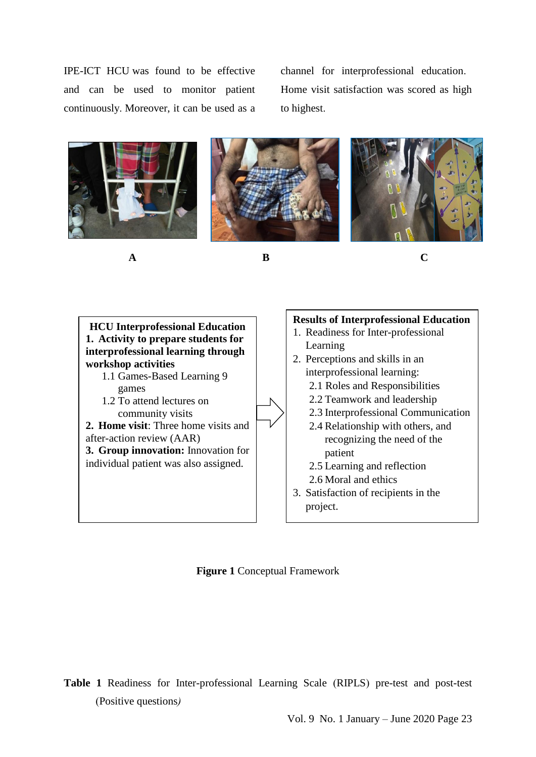IPE-ICT HCU was found to be effective and can be used to monitor patient continuously. Moreover, it can be used as a

channel for interprofessional education. Home visit satisfaction was scored as high to highest.



**A B C**



**Figure 1** Conceptual Framework

**Table 1** Readiness for Inter-professional Learning Scale (RIPLS) pre-test and post-test (Positive questions*)*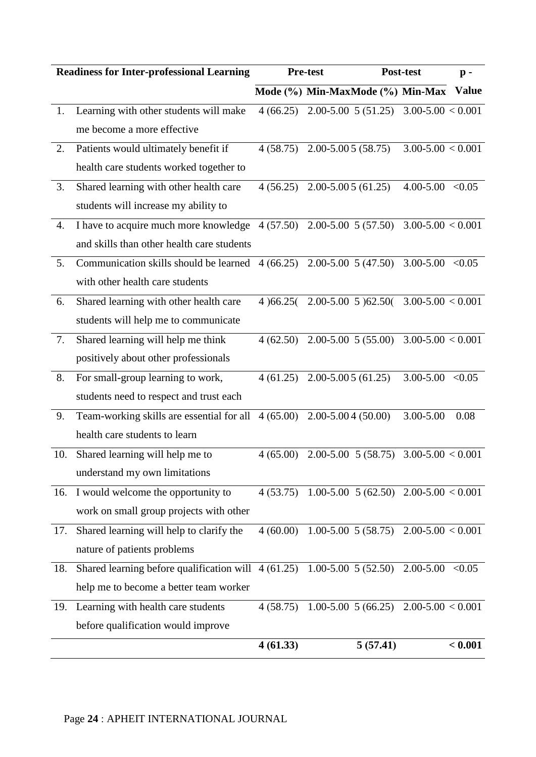|     | <b>Readiness for Inter-professional Learning</b>                         |            | <b>Pre-test</b>                            | Post-test             | $\mathbf{p}$ - |
|-----|--------------------------------------------------------------------------|------------|--------------------------------------------|-----------------------|----------------|
|     |                                                                          |            | Mode (%) Min-MaxMode (%) Min-Max           |                       | <b>Value</b>   |
| 1.  | Learning with other students will make                                   | 4(66.25)   | 2.00-5.00 5 (51.25) 3.00-5.00 < 0.001      |                       |                |
|     | me become a more effective                                               |            |                                            |                       |                |
| 2.  | Patients would ultimately benefit if                                     |            | $4(58.75)$ 2.00-5.00 5 (58.75)             | $3.00 - 5.00 < 0.001$ |                |
|     | health care students worked together to                                  |            |                                            |                       |                |
| 3.  | Shared learning with other health care                                   |            | $4(56.25)$ 2.00-5.00 5 (61.25)             | $4.00 - 5.00 < 0.05$  |                |
|     | students will increase my ability to                                     |            |                                            |                       |                |
| 4.  | I have to acquire much more knowledge                                    |            | $4(57.50)$ 2.00-5.00 5 (57.50)             | $3.00 - 5.00 < 0.001$ |                |
|     | and skills than other health care students                               |            |                                            |                       |                |
| 5.  | Communication skills should be learned                                   |            | $4(66.25)$ 2.00-5.00 5 (47.50)             | $3.00 - 5.00 < 0.05$  |                |
|     | with other health care students                                          |            |                                            |                       |                |
| 6.  | Shared learning with other health care                                   | 4 $66.25($ | $2.00 - 5.00$ 5 $62.50($ 3.00-5.00 < 0.001 |                       |                |
|     | students will help me to communicate                                     |            |                                            |                       |                |
| 7.  | Shared learning will help me think                                       | 4(62.50)   | $2.00 - 5.00 \quad 5 \quad (55.00)$        | $3.00 - 5.00 < 0.001$ |                |
|     | positively about other professionals                                     |            |                                            |                       |                |
| 8.  | For small-group learning to work,                                        | 4(61.25)   | $2.00 - 5.005(61.25)$                      | 3.00-5.00             | < 0.05         |
|     | students need to respect and trust each                                  |            |                                            |                       |                |
| 9.  | Team-working skills are essential for all                                | 4(65.00)   | $2.00 - 5.004(50.00)$                      | 3.00-5.00             | 0.08           |
|     | health care students to learn                                            |            |                                            |                       |                |
| 10. | Shared learning will help me to                                          | 4(65.00)   | $2.00 - 5.00 \quad 5(58.75)$               | $3.00 - 5.00 < 0.001$ |                |
|     | understand my own limitations                                            |            |                                            |                       |                |
| 16. | I would welcome the opportunity to                                       | 4(53.75)   | 1.00-5.00 $5(62.50)$ 2.00-5.00 $< 0.001$   |                       |                |
|     | work on small group projects with other                                  |            |                                            |                       |                |
| 17. | Shared learning will help to clarify the                                 | 4(60.00)   | $1.00 - 5.00 \quad 5(58.75)$               | $2.00 - 5.00 < 0.001$ |                |
|     | nature of patients problems                                              |            |                                            |                       |                |
| 18. | Shared learning before qualification will $4(61.25)$ 1.00-5.00 5 (52.50) |            |                                            | $2.00 - 5.00 < 0.05$  |                |
|     | help me to become a better team worker                                   |            |                                            |                       |                |
|     | 19. Learning with health care students                                   | 4(58.75)   | 1.00-5.00 $5(66.25)$ 2.00-5.00 $< 0.001$   |                       |                |
|     | before qualification would improve                                       |            |                                            |                       |                |
|     |                                                                          | 4(61.33)   | 5(57.41)                                   |                       | < 0.001        |

### Page **24** : APHEIT INTERNATIONAL JOURNAL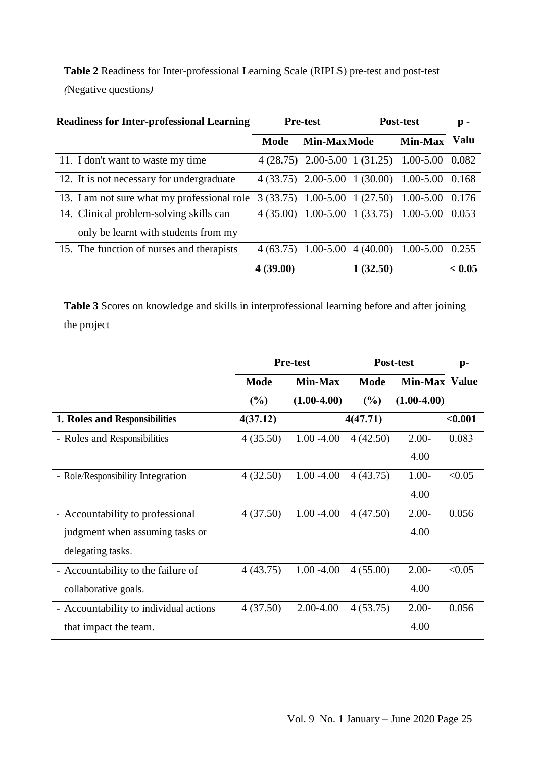| <b>Table 2</b> Readiness for Inter-professional Learning Scale (RIPLS) pre-test and post-test |  |
|-----------------------------------------------------------------------------------------------|--|
| (Negative questions)                                                                          |  |

| <b>Readiness for Inter-professional Learning</b>                                | <b>Pre-test</b> |                      | Post-test |                                               | p -    |
|---------------------------------------------------------------------------------|-----------------|----------------------|-----------|-----------------------------------------------|--------|
|                                                                                 | Mode            | <b>Min-MaxMode</b>   |           | Min-Max                                       | Valu   |
| 11. I don't want to waste my time                                               |                 |                      |           | $4(28.75)$ 2.00-5.00 1 (31.25) 1.00-5.00      | 0.082  |
| 12. It is not necessary for undergraduate                                       |                 |                      |           | $4(33.75)$ 2.00-5.00 1(30.00) 1.00-5.00 0.168 |        |
| 13. I am not sure what my professional role                                     |                 |                      |           | $3(33.75)$ 1.00-5.00 1 (27.50) 1.00-5.00      | 0.176  |
| 14. Clinical problem-solving skills can<br>only be learnt with students from my |                 |                      |           | $4(35.00)$ 1.00-5.00 1(33.75) 1.00-5.00       | 0.053  |
| 15. The function of nurses and therapists                                       |                 | $4(63.75)$ 1.00-5.00 |           | $4(40.00)$ 1.00-5.00                          | 0.255  |
|                                                                                 | 4(39.00)        |                      | 1(32.50)  |                                               | < 0.05 |

**Table 3** Scores on knowledge and skills in interprofessional learning before and after joining the project

|                                        | <b>Pre-test</b> |                | Post-test   | $p-$                 |         |
|----------------------------------------|-----------------|----------------|-------------|----------------------|---------|
|                                        | <b>Mode</b>     | <b>Min-Max</b> | <b>Mode</b> | <b>Min-Max Value</b> |         |
|                                        | (%)             | $(1.00-4.00)$  | (%)         | $(1.00-4.00)$        |         |
| 1. Roles and Responsibilities          | 4(37.12)        |                | 4(47.71)    |                      | < 0.001 |
| - Roles and Responsibilities           | 4(35.50)        | $1.00 - 4.00$  | 4(42.50)    | $2.00-$              | 0.083   |
|                                        |                 |                |             | 4.00                 |         |
| - Role/Responsibility Integration      | 4(32.50)        | $1.00 - 4.00$  | 4(43.75)    | $1.00-$              | < 0.05  |
|                                        |                 |                |             | 4.00                 |         |
| - Accountability to professional       | 4(37.50)        | $1.00 - 4.00$  | 4(47.50)    | $2.00-$              | 0.056   |
| judgment when assuming tasks or        |                 |                |             | 4.00                 |         |
| delegating tasks.                      |                 |                |             |                      |         |
| - Accountability to the failure of     | 4(43.75)        | $1.00 - 4.00$  | 4(55.00)    | $2.00-$              | < 0.05  |
| collaborative goals.                   |                 |                |             | 4.00                 |         |
| - Accountability to individual actions | 4(37.50)        | 2.00-4.00      | 4(53.75)    | $2.00-$              | 0.056   |
| that impact the team.                  |                 |                |             | 4.00                 |         |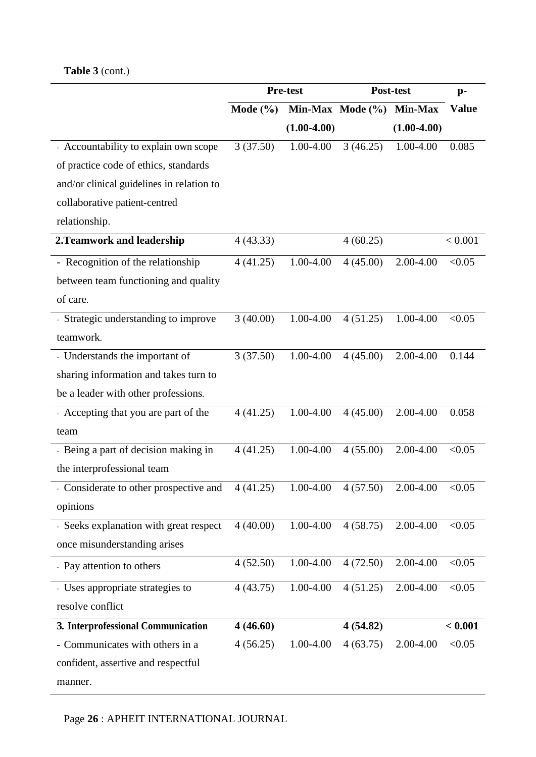## **Table 3** (cont.)

|                                           | <b>Pre-test</b> |               | Post-test            | $p-$          |              |
|-------------------------------------------|-----------------|---------------|----------------------|---------------|--------------|
|                                           | Mode $(\% )$    |               | Min-Max Mode $(\% )$ | Min-Max       | <b>Value</b> |
|                                           |                 | $(1.00-4.00)$ |                      | $(1.00-4.00)$ |              |
| - Accountability to explain own scope     | 3(37.50)        | 1.00-4.00     | 3(46.25)             | 1.00-4.00     | 0.085        |
| of practice code of ethics, standards     |                 |               |                      |               |              |
| and/or clinical guidelines in relation to |                 |               |                      |               |              |
| collaborative patient-centred             |                 |               |                      |               |              |
| relationship.                             |                 |               |                      |               |              |
| 2. Teamwork and leadership                | 4(43.33)        |               | 4(60.25)             |               | < 0.001      |
| - Recognition of the relationship         | 4(41.25)        | 1.00-4.00     | 4(45.00)             | 2.00-4.00     | < 0.05       |
| between team functioning and quality      |                 |               |                      |               |              |
| of care.                                  |                 |               |                      |               |              |
| - Strategic understanding to improve      | 3(40.00)        | 1.00-4.00     | 4(51.25)             | 1.00-4.00     | < 0.05       |
| teamwork.                                 |                 |               |                      |               |              |
| - Understands the important of            | 3(37.50)        | 1.00-4.00     | 4(45.00)             | 2.00-4.00     | 0.144        |
| sharing information and takes turn to     |                 |               |                      |               |              |
| be a leader with other professions.       |                 |               |                      |               |              |
| - Accepting that you are part of the      | 4(41.25)        | 1.00-4.00     | 4(45.00)             | 2.00-4.00     | 0.058        |
| team                                      |                 |               |                      |               |              |
| - Being a part of decision making in      | 4(41.25)        | 1.00-4.00     | 4(55.00)             | 2.00-4.00     | < 0.05       |
| the interprofessional team                |                 |               |                      |               |              |
| - Considerate to other prospective and    | 4(41.25)        | 1.00-4.00     | 4(57.50)             | 2.00-4.00     | < 0.05       |
| opinions                                  |                 |               |                      |               |              |
| - Seeks explanation with great respect    | 4(40.00)        | 1.00-4.00     | 4(58.75)             | 2.00-4.00     | < 0.05       |
| once misunderstanding arises              |                 |               |                      |               |              |
| - Pay attention to others                 | 4(52.50)        | 1.00-4.00     | 4(72.50)             | 2.00-4.00     | < 0.05       |
| - Uses appropriate strategies to          | 4(43.75)        | 1.00-4.00     | 4(51.25)             | 2.00-4.00     | < 0.05       |
| resolve conflict                          |                 |               |                      |               |              |
| 3. Interprofessional Communication        | 4(46.60)        |               | 4(54.82)             |               | < 0.001      |
| - Communicates with others in a           | 4(56.25)        | 1.00-4.00     | 4(63.75)             | 2.00-4.00     | < 0.05       |
| confident, assertive and respectful       |                 |               |                      |               |              |
| manner.                                   |                 |               |                      |               |              |

Page **26** : APHEIT INTERNATIONAL JOURNAL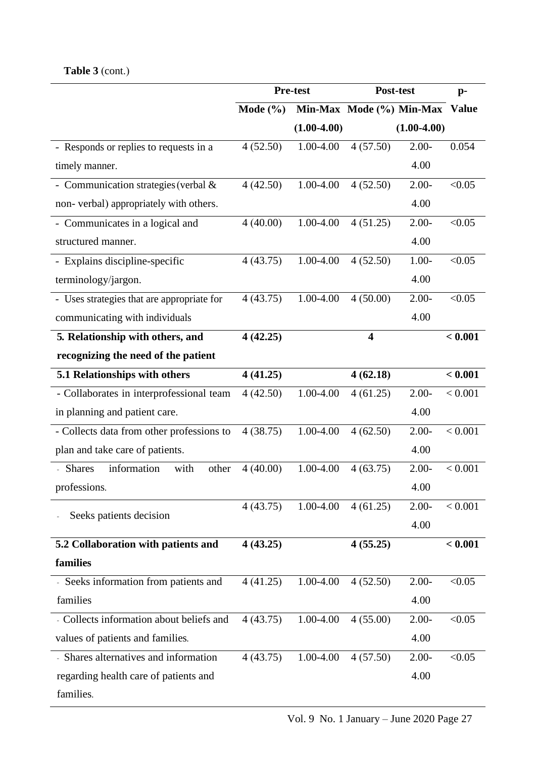# **Table 3** (cont.)

|                                               |              | Pre-test      | Post-test                |               | $p-$         |
|-----------------------------------------------|--------------|---------------|--------------------------|---------------|--------------|
|                                               | Mode $(\% )$ |               | Min-Max Mode (%) Min-Max |               | <b>Value</b> |
|                                               |              | $(1.00-4.00)$ |                          | $(1.00-4.00)$ |              |
| - Responds or replies to requests in a        | 4(52.50)     | 1.00-4.00     | 4(57.50)                 | $2.00 -$      | 0.054        |
| timely manner.                                |              |               |                          | 4.00          |              |
| - Communication strategies (verbal &          | 4(42.50)     | 1.00-4.00     | 4(52.50)                 | $2.00 -$      | < 0.05       |
| non-verbal) appropriately with others.        |              |               |                          | 4.00          |              |
| - Communicates in a logical and               | 4(40.00)     | 1.00-4.00     | 4(51.25)                 | $2.00 -$      | < 0.05       |
| structured manner.                            |              |               |                          | 4.00          |              |
| - Explains discipline-specific                | 4(43.75)     | 1.00-4.00     | 4(52.50)                 | $1.00 -$      | < 0.05       |
| terminology/jargon.                           |              |               |                          | 4.00          |              |
| - Uses strategies that are appropriate for    | 4(43.75)     | 1.00-4.00     | 4(50.00)                 | $2.00-$       | < 0.05       |
| communicating with individuals                |              |               |                          | 4.00          |              |
| 5. Relationship with others, and              | 4(42.25)     |               | $\overline{\mathbf{4}}$  |               | < 0.001      |
| recognizing the need of the patient           |              |               |                          |               |              |
| 5.1 Relationships with others                 | 4(41.25)     |               | 4(62.18)                 |               | < 0.001      |
| - Collaborates in interprofessional team      | 4(42.50)     | 1.00-4.00     | 4(61.25)                 | $2.00 -$      | < 0.001      |
| in planning and patient care.                 |              |               |                          | 4.00          |              |
| - Collects data from other professions to     | 4(38.75)     | 1.00-4.00     | 4(62.50)                 | $2.00 -$      | < 0.001      |
| plan and take care of patients.               |              |               |                          | 4.00          |              |
| information<br><b>Shares</b><br>with<br>other | 4(40.00)     | 1.00-4.00     | 4(63.75)                 | $2.00 -$      | < 0.001      |
| professions.                                  |              |               |                          | 4.00          |              |
|                                               | 4(43.75)     | 1.00-4.00     | 4(61.25)                 | $2.00 -$      | < 0.001      |
| Seeks patients decision                       |              |               |                          | 4.00          |              |
| 5.2 Collaboration with patients and           | 4(43.25)     |               | 4(55.25)                 |               | < 0.001      |
| families                                      |              |               |                          |               |              |
| - Seeks information from patients and         | 4(41.25)     | 1.00-4.00     | 4(52.50)                 | $2.00 -$      | < 0.05       |
| families                                      |              |               |                          | 4.00          |              |
| - Collects information about beliefs and      | 4(43.75)     | 1.00-4.00     | 4(55.00)                 | $2.00 -$      | < 0.05       |
| values of patients and families.              |              |               |                          | 4.00          |              |
| - Shares alternatives and information         | 4(43.75)     | 1.00-4.00     | 4(57.50)                 | $2.00-$       | < 0.05       |
| regarding health care of patients and         |              |               |                          | 4.00          |              |
| families.                                     |              |               |                          |               |              |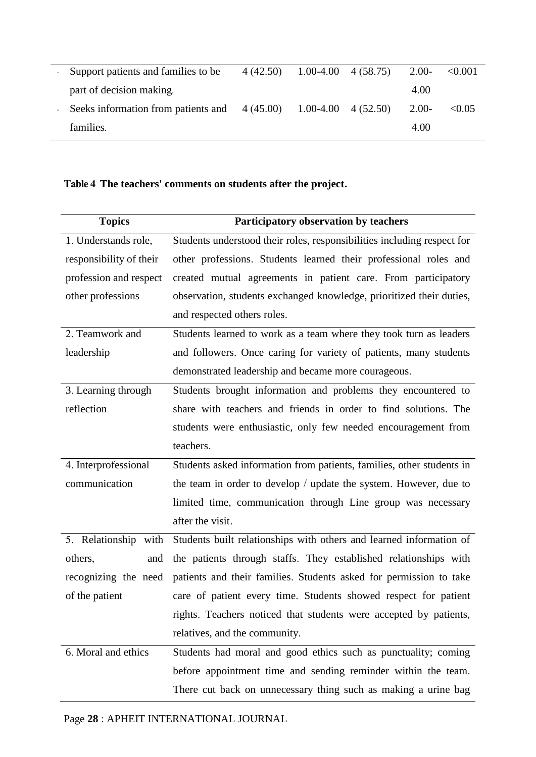| Support patients and families to be | 4(42.50)  | $1.00-4.00 \quad 4(58.75)$ | $2.00-$ | < 0.001 |
|-------------------------------------|-----------|----------------------------|---------|---------|
| part of decision making.            |           |                            | 4.00    |         |
| Seeks information from patients and | 4 (45.00) | $1.00-4.00 \quad 4(52.50)$ | $2.00-$ | < 0.05  |
| families.                           |           |                            | 4.00    |         |

### **Table 4 The teachers' comments on students after the project.**

| <b>Topics</b>           | Participatory observation by teachers                                   |
|-------------------------|-------------------------------------------------------------------------|
| 1. Understands role,    | Students understood their roles, responsibilities including respect for |
| responsibility of their | other professions. Students learned their professional roles and        |
| profession and respect  | created mutual agreements in patient care. From participatory           |
| other professions       | observation, students exchanged knowledge, prioritized their duties,    |
|                         | and respected others roles.                                             |
| 2. Teamwork and         | Students learned to work as a team where they took turn as leaders      |
| leadership              | and followers. Once caring for variety of patients, many students       |
|                         | demonstrated leadership and became more courageous.                     |
| 3. Learning through     | Students brought information and problems they encountered to           |
| reflection              | share with teachers and friends in order to find solutions. The         |
|                         | students were enthusiastic, only few needed encouragement from          |
|                         | teachers.                                                               |
| 4. Interprofessional    | Students asked information from patients, families, other students in   |
| communication           | the team in order to develop / update the system. However, due to       |
|                         | limited time, communication through Line group was necessary            |
|                         | after the visit.                                                        |
| 5. Relationship with    | Students built relationships with others and learned information of     |
| others,<br>and          | the patients through staffs. They established relationships with        |
| recognizing the need    | patients and their families. Students asked for permission to take      |
| of the patient          | care of patient every time. Students showed respect for patient         |
|                         | rights. Teachers noticed that students were accepted by patients,       |
|                         | relatives, and the community.                                           |
| 6. Moral and ethics     | Students had moral and good ethics such as punctuality; coming          |
|                         | before appointment time and sending reminder within the team.           |
|                         | There cut back on unnecessary thing such as making a urine bag          |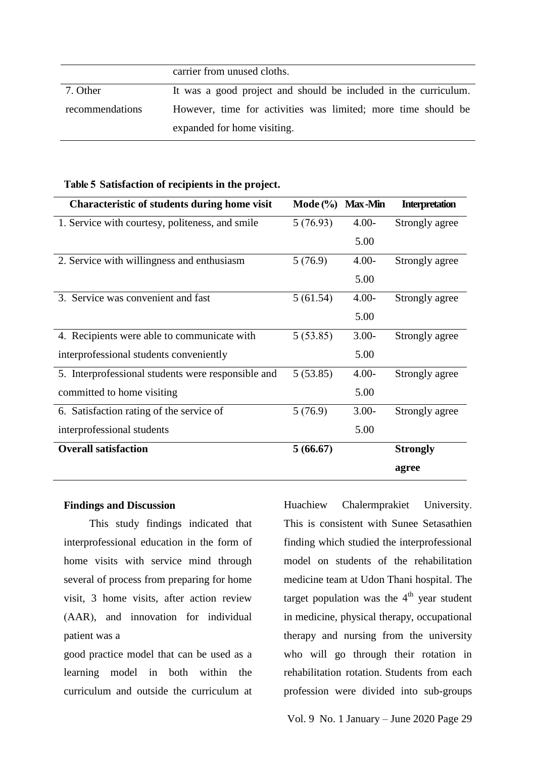| carrier from unused cloths. |  |
|-----------------------------|--|
|-----------------------------|--|

7. Other recommendations It was a good project and should be included in the curriculum. However, time for activities was limited; more time should be expanded for home visiting.

| <b>Characteristic of students during home visit</b> | Mode $(\%)$ | <b>Max-Min</b> | <b>Interpretation</b> |
|-----------------------------------------------------|-------------|----------------|-----------------------|
| 1. Service with courtesy, politeness, and smile     | 5(76.93)    | $4.00 -$       | Strongly agree        |
|                                                     |             | 5.00           |                       |
| 2. Service with willingness and enthusiasm          | 5(76.9)     | $4.00 -$       | Strongly agree        |
|                                                     |             | 5.00           |                       |
| 3. Service was convenient and fast                  | 5(61.54)    | $4.00 -$       | Strongly agree        |
|                                                     |             | 5.00           |                       |
| 4. Recipients were able to communicate with         | 5(53.85)    | $3.00-$        | Strongly agree        |
| interprofessional students conveniently             |             | 5.00           |                       |
| 5. Interprofessional students were responsible and  | 5(53.85)    | $4.00 -$       | Strongly agree        |
| committed to home visiting                          |             | 5.00           |                       |
| 6. Satisfaction rating of the service of            | 5(76.9)     | $3.00 -$       | Strongly agree        |
| interprofessional students                          |             | 5.00           |                       |
| <b>Overall satisfaction</b>                         | 5(66.67)    |                | <b>Strongly</b>       |
|                                                     |             |                | agree                 |

### **Table 5 Satisfaction of recipients in the project.**

### **Findings and Discussion**

This study findings indicated that interprofessional education in the form of home visits with service mind through several of process from preparing for home visit, 3 home visits, after action review (AAR), and innovation for individual patient was a

good practice model that can be used as a learning model in both within the curriculum and outside the curriculum at Huachiew Chalermprakiet University. This is consistent with Sunee Setasathien finding which studied the interprofessional model on students of the rehabilitation medicine team at Udon Thani hospital. The target population was the  $4<sup>th</sup>$  year student in medicine, physical therapy, occupational therapy and nursing from the university who will go through their rotation in rehabilitation rotation. Students from each profession were divided into sub-groups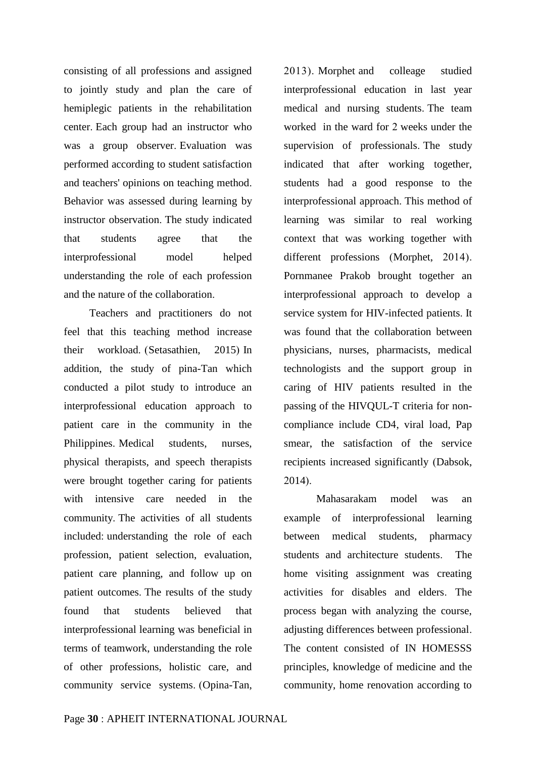consisting of all professions and assigned to jointly study and plan the care of hemiplegic patients in the rehabilitation center. Each group had an instructor who was a group observer. Evaluation was performed according to student satisfaction and teachers' opinions on teaching method. Behavior was assessed during learning by instructor observation. The study indicated that students agree that the interprofessional model helped understanding the role of each profession and the nature of the collaboration.

Teachers and practitioners do not feel that this teaching method increase their workload. (Setasathien, 2015) In addition, the study of pina-Tan which conducted a pilot study to introduce an interprofessional education approach to patient care in the community in the Philippines. Medical students, nurses, physical therapists, and speech therapists were brought together caring for patients with intensive care needed in the community. The activities of all students included: understanding the role of each profession, patient selection, evaluation, patient care planning, and follow up on patient outcomes. The results of the study found that students believed that interprofessional learning was beneficial in terms of teamwork, understanding the role of other professions, holistic care, and community service systems. (Opina-Tan, 2013). Morphet and colleage studied interprofessional education in last year medical and nursing students. The team worked in the ward for 2 weeks under the supervision of professionals. The study indicated that after working together, students had a good response to the interprofessional approach. This method of learning was similar to real working context that was working together with different professions (Morphet, 2014). Pornmanee Prakob brought together an interprofessional approach to develop a service system for HIV-infected patients. It was found that the collaboration between physicians, nurses, pharmacists, medical technologists and the support group in caring of HIV patients resulted in the passing of the HIVQUL-T criteria for noncompliance include CD4, viral load, Pap smear, the satisfaction of the service recipients increased significantly (Dabsok, 2014).

Mahasarakam model was an example of interprofessional learning between medical students, pharmacy students and architecture students. The home visiting assignment was creating activities for disables and elders. The process began with analyzing the course, adjusting differences between professional. The content consisted of IN HOMESSS principles, knowledge of medicine and the community, home renovation according to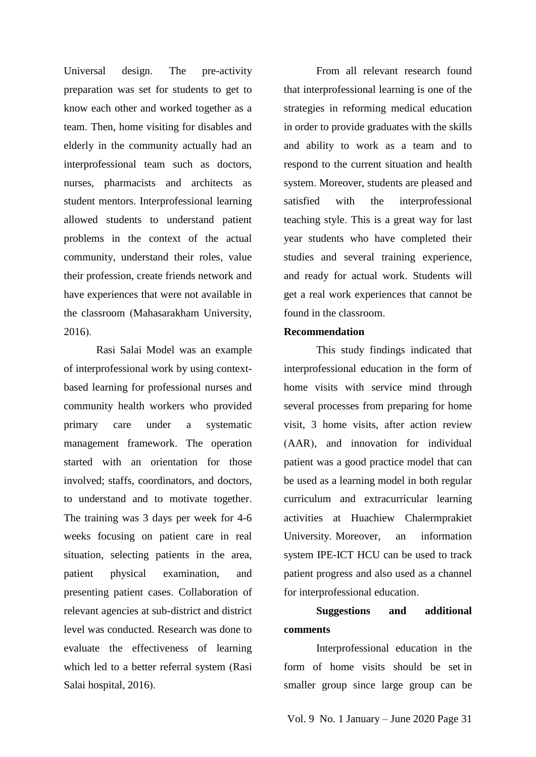Universal design. The pre-activity preparation was set for students to get to know each other and worked together as a team. Then, home visiting for disables and elderly in the community actually had an interprofessional team such as doctors, nurses, pharmacists and architects as student mentors. Interprofessional learning allowed students to understand patient problems in the context of the actual community, understand their roles, value their profession, create friends network and have experiences that were not available in the classroom (Mahasarakham University, 2016).

Rasi Salai Model was an example of interprofessional work by using contextbased learning for professional nurses and community health workers who provided primary care under a systematic management framework. The operation started with an orientation for those involved; staffs, coordinators, and doctors, to understand and to motivate together. The training was 3 days per week for 4-6 weeks focusing on patient care in real situation, selecting patients in the area, patient physical examination, and presenting patient cases. Collaboration of relevant agencies at sub-district and district level was conducted. Research was done to evaluate the effectiveness of learning which led to a better referral system (Rasi Salai hospital, 2016).

From all relevant research found that interprofessional learning is one of the strategies in reforming medical education in order to provide graduates with the skills and ability to work as a team and to respond to the current situation and health system. Moreover, students are pleased and satisfied with the interprofessional teaching style. This is a great way for last year students who have completed their studies and several training experience, and ready for actual work. Students will get a real work experiences that cannot be found in the classroom.

### **Recommendation**

This study findings indicated that interprofessional education in the form of home visits with service mind through several processes from preparing for home visit, 3 home visits, after action review (AAR), and innovation for individual patient was a good practice model that can be used as a learning model in both regular curriculum and extracurricular learning activities at Huachiew Chalermprakiet University. Moreover, an information system IPE-ICT HCU can be used to track patient progress and also used as a channel for interprofessional education.

### **Suggestions and additional comments**

Interprofessional education in the form of home visits should be set in smaller group since large group can be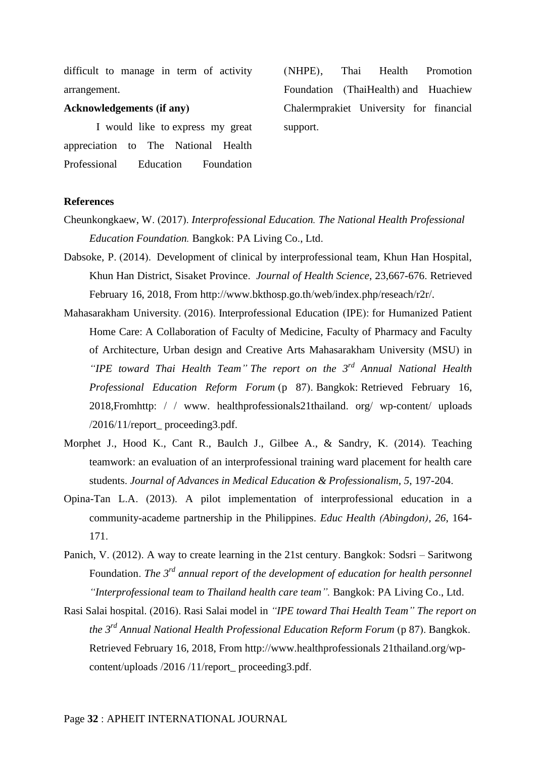difficult to manage in term of activity arrangement.

**Acknowledgements (if any)**

I would like to express my great appreciation to The National Health Professional Education Foundation

(NHPE), Thai Health Promotion Foundation (ThaiHealth) and Huachiew Chalermprakiet University for financial support.

#### **References**

- Cheunkongkaew, W. (2017). *Interprofessional Education. The National Health Professional Education Foundation.* Bangkok: PA Living Co., Ltd.
- Dabsoke, P. (2014). Development of clinical by interprofessional team, Khun Han Hospital, Khun Han District, Sisaket Province. *Journal of Health Science*, 23,667-676. Retrieved February 16, 2018, From http://www.bkthosp.go.th/web/index.php/reseach/r2r/.
- Mahasarakham University. (2016). Interprofessional Education (IPE): for Humanized Patient Home Care: A Collaboration of Faculty of Medicine, Faculty of Pharmacy and Faculty of Architecture, Urban design and Creative Arts Mahasarakham University (MSU) in *"IPE toward Thai Health Team" The report on the 3rd Annual National Health Professional Education Reform Forum* (p 87). Bangkok: Retrieved February 16, 2018,Fromhttp:// www. healthprofessionals21thailand. org/ wp-content/ uploads /2016/11/report\_ proceeding3.pdf.
- Morphet J., Hood K., Cant R., Baulch J., Gilbee A., & Sandry, K. (2014). Teaching teamwork: an evaluation of an interprofessional training ward placement for health care students. *Journal of Advances in Medical Education & Professionalism, 5*, 197-204.
- Opina-Tan L.A. (2013). A pilot implementation of interprofessional education in a community-academe partnership in the Philippines. *Educ Health (Abingdon), 26*, 164- 171.
- Panich, V. (2012). A way to create learning in the 21st century. Bangkok: Sodsri Saritwong Foundation. *The 3rd annual report of the development of education for health personnel "Interprofessional team to Thailand health care team".* Bangkok: PA Living Co., Ltd.
- Rasi Salai hospital. (2016). Rasi Salai model in *"IPE toward Thai Health Team" The report on the 3rd Annual National Health Professional Education Reform Forum* (p 87). Bangkok. Retrieved February 16, 2018, From http://www.healthprofessionals 21thailand.org/wpcontent/uploads /2016 /11/report\_ proceeding3.pdf.